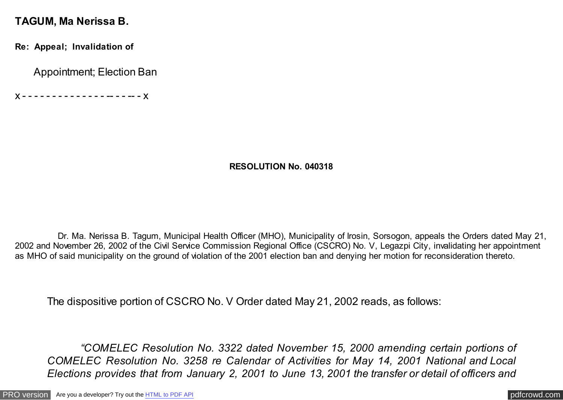#### **TAGUM, Ma Nerissa B.**

**Re: Appeal; Invalidation of**

Appointment; Election Ban

x - - - - - - - - - - - - - - -- - - -- - x

#### **RESOLUTION No. 040318**

 Dr. Ma. Nerissa B. Tagum, Municipal Health Officer (MHO), Municipality of Irosin, Sorsogon, appeals the Orders dated May 21, 2002 and November 26, 2002 of the Civil Service Commission Regional Office (CSCRO) No. V, Legazpi City, invalidating her appointment as MHO of said municipality on the ground of violation of the 2001 election ban and denying her motion for reconsideration thereto.

The dispositive portion of CSCRO No. V Order dated May 21, 2002 reads, as follows:

 *"COMELEC Resolution No. 3322 dated November 15, 2000 amending certain portions of COMELEC Resolution No. 3258 re Calendar of Activities for May 14, 2001 National and Local Elections provides that from January 2, 2001 to June 13, 2001 the transfer or detail of officers and*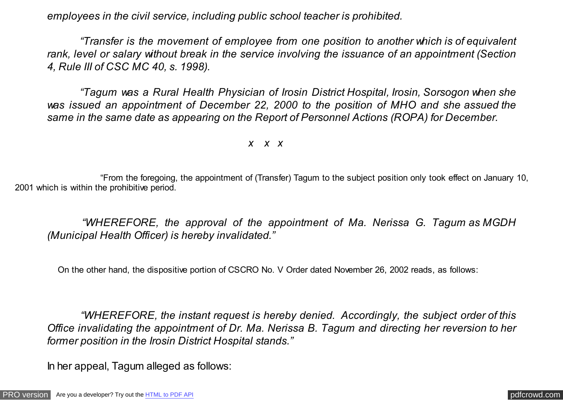*employees in the civil service, including public school teacher is prohibited.*

 *"Transfer is the movement of employee from one position to another which is of equivalent rank, level or salary without break in the service involving the issuance of an appointment (Section 4, Rule III of CSC MC 40, s. 1998).*

 *"Tagum was a Rural Health Physician of Irosin District Hospital, Irosin, Sorsogon when she was issued an appointment of December 22, 2000 to the position of MHO and she assued the same in the same date as appearing on the Report of Personnel Actions (ROPA) for December.*

*x x x*

 "From the foregoing, the appointment of (Transfer) Tagum to the subject position only took effect on January 10, 2001 which is within the prohibitive period.

 *"WHEREFORE, the approval of the appointment of Ma. Nerissa G. Tagum as MGDH (Municipal Health Officer) is hereby invalidated."*

On the other hand, the dispositive portion of CSCRO No. V Order dated November 26, 2002 reads, as follows:

 *"WHEREFORE, the instant request is hereby denied. Accordingly, the subject order of this Office invalidating the appointment of Dr. Ma. Nerissa B. Tagum and directing her reversion to her former position in the Irosin District Hospital stands."*

In her appeal, Tagum alleged as follows: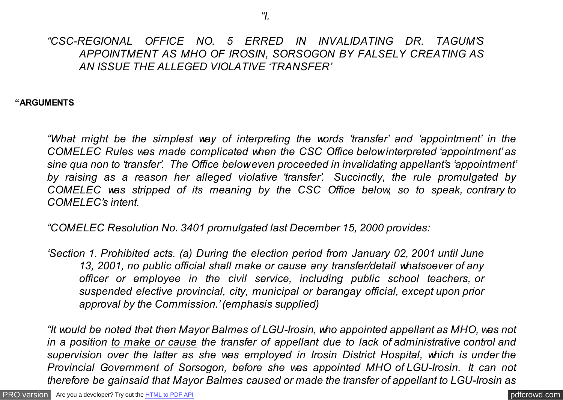### *"CSC-REGIONAL OFFICE NO. 5 ERRED IN INVALIDATING DR. TAGUM'S APPOINTMENT AS MHO OF IROSIN, SORSOGON BY FALSELY CREATING AS AN ISSUE THE ALLEGED VIOLATIVE 'TRANSFER'*

**"ARGUMENTS**

*"What might be the simplest way of interpreting the words 'transfer' and 'appointment' in the COMELEC Rules was made complicated when the CSC Office below interpreted 'appointment' as sine qua non to 'transfer'. The Office below even proceeded in invalidating appellant's 'appointment' by raising as a reason her alleged violative 'transfer'. Succinctly, the rule promulgated by COMELEC was stripped of its meaning by the CSC Office below, so to speak, contrary to COMELEC's intent.*

*"COMELEC Resolution No. 3401 promulgated last December 15, 2000 provides:*

*'Section 1. Prohibited acts. (a) During the election period from January 02, 2001 until June 13, 2001, no public official shall make or cause any transfer/detail whatsoever of any officer or employee in the civil service, including public school teachers, or suspended elective provincial, city, municipal or barangay official, except upon prior approval by the Commission.' (emphasis supplied)*

*"It would be noted that then Mayor Balmes of LGU-Irosin, who appointed appellant as MHO, was not in a position to make or cause the transfer of appellant due to lack of administrative control and supervision over the latter as she was employed in Irosin District Hospital, which is under the Provincial Government of Sorsogon, before she was appointed MHO of LGU-Irosin. It can not therefore be gainsaid that Mayor Balmes caused or made the transfer of appellant to LGU-Irosin as*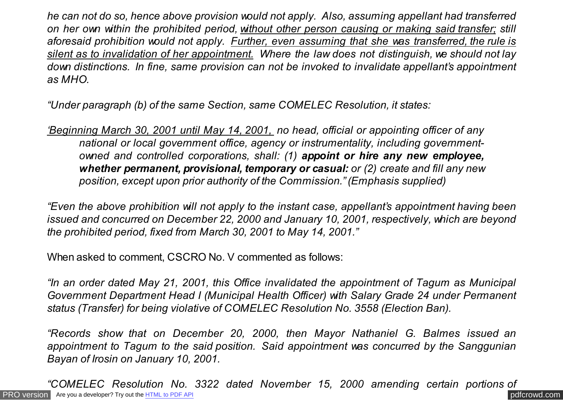*he can not do so, hence above provision would not apply. Also, assuming appellant had transferred on her own within the prohibited period, without other person causing or making said transfer; still aforesaid prohibition would not apply. Further, even assuming that she was transferred, the rule is silent as to invalidation of her appointment. Where the law does not distinguish, we should not lay down distinctions. In fine, same provision can not be invoked to invalidate appellant's appointment as MHO.*

*"Under paragraph (b) of the same Section, same COMELEC Resolution, it states:*

*'Beginning March 30, 2001 until May 14, 2001, no head, official or appointing officer of any national or local government office, agency or instrumentality, including governmentowned and controlled corporations, shall: (1) appoint or hire any new employee, whether permanent, provisional, temporary or casual: or (2) create and fill any new position, except upon prior authority of the Commission." (Emphasis supplied)*

*"Even the above prohibition will not apply to the instant case, appellant's appointment having been issued and concurred on December 22, 2000 and January 10, 2001, respectively, which are beyond the prohibited period, fixed from March 30, 2001 to May 14, 2001."*

When asked to comment, CSCRO No. V commented as follows:

*"In an order dated May 21, 2001, this Office invalidated the appointment of Tagum as Municipal Government Department Head I (Municipal Health Officer) with Salary Grade 24 under Permanent status (Transfer) for being violative of COMELEC Resolution No. 3558 (Election Ban).*

*"Records show that on December 20, 2000, then Mayor Nathaniel G. Balmes issued an appointment to Tagum to the said position. Said appointment was concurred by the Sanggunian Bayan of Irosin on January 10, 2001.*

[PRO version](http://pdfcrowd.com/customize/) Are you a developer? Try out th[e HTML to PDF API](http://pdfcrowd.com/html-to-pdf-api/?ref=pdf) compared to the comparison of the HTML to PDF API *"COMELEC Resolution No. 3322 dated November 15, 2000 amending certain portions of*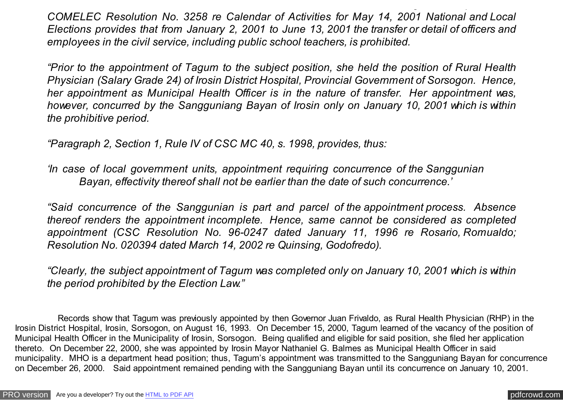*COMELEC Resolution No. 3258 re Calendar of Activities for May 14, 2001 National and Local Elections provides that from January 2, 2001 to June 13, 2001 the transfer or detail of officers and employees in the civil service, including public school teachers, is prohibited.*

*"COMELEC Resolution No. 3322 dated November 15, 2000 amending certain portions of*

*"Prior to the appointment of Tagum to the subject position, she held the position of Rural Health Physician (Salary Grade 24) of Irosin District Hospital, Provincial Government of Sorsogon. Hence, her appointment as Municipal Health Officer is in the nature of transfer. Her appointment was, however, concurred by the Sangguniang Bayan of Irosin only on January 10, 2001 which is within the prohibitive period.*

*"Paragraph 2, Section 1, Rule IV of CSC MC 40, s. 1998, provides, thus:*

*'In case of local government units, appointment requiring concurrence of the Sanggunian Bayan, effectivity thereof shall not be earlier than the date of such concurrence.'*

*"Said concurrence of the Sanggunian is part and parcel of the appointment process. Absence thereof renders the appointment incomplete. Hence, same cannot be considered as completed appointment (CSC Resolution No. 96-0247 dated January 11, 1996 re Rosario, Romualdo; Resolution No. 020394 dated March 14, 2002 re Quinsing, Godofredo).*

*"Clearly, the subject appointment of Tagum was completed only on January 10, 2001 which is within the period prohibited by the Election Law."*

 Records show that Tagum was previously appointed by then Governor Juan Frivaldo, as Rural Health Physician (RHP) in the Irosin District Hospital, Irosin, Sorsogon, on August 16, 1993. On December 15, 2000, Tagum learned of the vacancy of the position of Municipal Health Officer in the Municipality of Irosin, Sorsogon. Being qualified and eligible for said position, she filed her application thereto. On December 22, 2000, she was appointed by Irosin Mayor Nathaniel G. Balmes as Municipal Health Officer in said municipality. MHO is a department head position; thus, Tagum's appointment was transmitted to the Sangguniang Bayan for concurrence on December 26, 2000. Said appointment remained pending with the Sangguniang Bayan until its concurrence on January 10, 2001.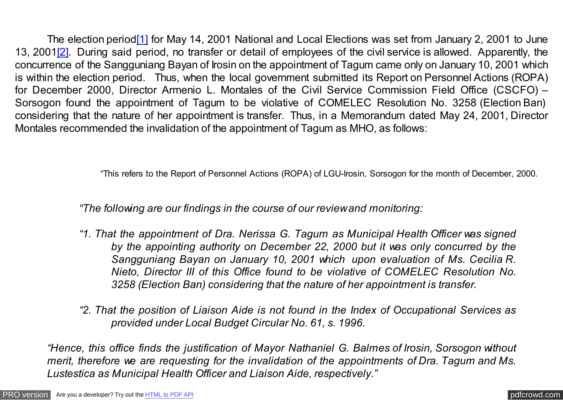<span id="page-5-0"></span> The election perio[d\[1\]](#page-9-0) for May 14, 2001 National and Local Elections was set from January 2, 2001 to June 13, 200[1\[2\].](#page-9-0) During said period, no transfer or detail of employees of the civil service is allowed. Apparently, the concurrence of the Sangguniang Bayan of Irosin on the appointment of Tagum came only on January 10, 2001 which is within the election period. Thus, when the local government submitted its Report on Personnel Actions (ROPA) for December 2000, Director Armenio L. Montales of the Civil Service Commission Field Office (CSCFO) – Sorsogon found the appointment of Tagum to be violative of COMELEC Resolution No. 3258 (Election Ban) considering that the nature of her appointment is transfer. Thus, in a Memorandum dated May 24, 2001, Director Montales recommended the invalidation of the appointment of Tagum as MHO, as follows:

"This refers to the Report of Personnel Actions (ROPA) of LGU-Irosin, Sorsogon for the month of December, 2000.

 *"The following are our findings in the course of our review and monitoring:*

- *"1. That the appointment of Dra. Nerissa G. Tagum as Municipal Health Officer was signed by the appointing authority on December 22, 2000 but it was only concurred by the Sangguniang Bayan on January 10, 2001 which upon evaluation of Ms. Cecilia R. Nieto, Director III of this Office found to be violative of COMELEC Resolution No. 3258 (Election Ban) considering that the nature of her appointment is transfer.*
- *"2. That the position of Liaison Aide is not found in the Index of Occupational Services as provided under Local Budget Circular No. 61, s. 1996.*

*"Hence, this office finds the justification of Mayor Nathaniel G. Balmes of Irosin, Sorsogon without merit, therefore we are requesting for the invalidation of the appointments of Dra. Tagum and Ms. Lustestica as Municipal Health Officer and Liaison Aide, respectively."*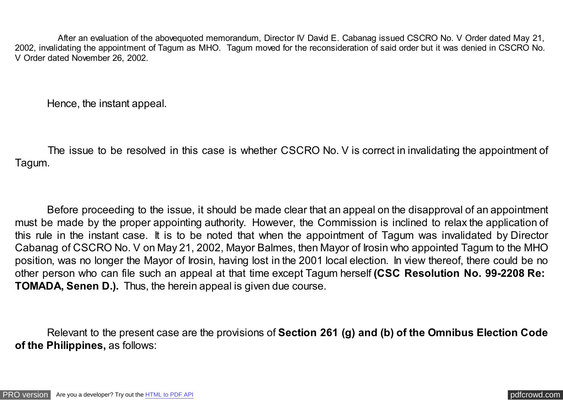After an evaluation of the abovequoted memorandum, Director IV David E. Cabanag issued CSCRO No. V Order dated May 21, 2002, invalidating the appointment of Tagum as MHO. Tagum moved for the reconsideration of said order but it was denied in CSCRO No. V Order dated November 26, 2002.

Hence, the instant appeal.

 The issue to be resolved in this case is whether CSCRO No. V is correct in invalidating the appointment of Tagum.

 Before proceeding to the issue, it should be made clear that an appeal on the disapproval of an appointment must be made by the proper appointing authority. However, the Commission is inclined to relax the application of this rule in the instant case. It is to be noted that when the appointment of Tagum was invalidated by Director Cabanag of CSCRO No. V on May 21, 2002, Mayor Balmes, then Mayor of Irosin who appointed Tagum to the MHO position, was no longer the Mayor of Irosin, having lost in the 2001 local election. In view thereof, there could be no other person who can file such an appeal at that time except Tagum herself **(CSC Resolution No. 99-2208 Re: TOMADA, Senen D.).** Thus, the herein appeal is given due course.

 Relevant to the present case are the provisions of **Section 261 (g) and (b) of the Omnibus Election Code of the Philippines,** as follows: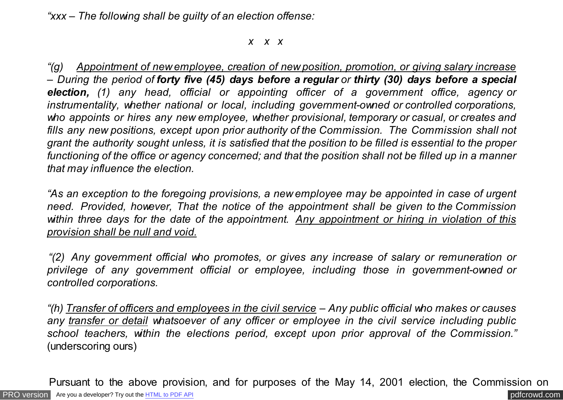*"xxx – The following shall be guilty of an election offense:*

*x x x*

 *"(g) Appointment of new employee, creation of new position, promotion, or giving salary increase – During the period of forty five (45) days before a regular or thirty (30) days before a special election, (1) any head, official or appointing officer of a government office, agency or instrumentality, whether national or local, including government-owned or controlled corporations, who appoints or hires any new employee, whether provisional, temporary or casual, or creates and fills any new positions, except upon prior authority of the Commission. The Commission shall not grant the authority sought unless, it is satisfied that the position to be filled is essential to the proper functioning of the office or agency concerned; and that the position shall not be filled up in a manner that may influence the election.*

 *"As an exception to the foregoing provisions, a new employee may be appointed in case of urgent need. Provided, however, That the notice of the appointment shall be given to the Commission within three days for the date of the appointment. Any appointment or hiring in violation of this provision shall be null and void.*

 *"(2) Any government official who promotes, or gives any increase of salary or remuneration or privilege of any government official or employee, including those in government-owned or controlled corporations.*

 *"(h) Transfer of officers and employees in the civil service – Any public official who makes or causes any transfer or detail whatsoever of any officer or employee in the civil service including public school teachers, within the elections period, except upon prior approval of the Commission."* (underscoring ours)

[PRO version](http://pdfcrowd.com/customize/) Are you a developer? Try out th[e HTML to PDF API](http://pdfcrowd.com/html-to-pdf-api/?ref=pdf) [pdfcrowd.com](http://pdfcrowd.com) Pursuant to the above provision, and for purposes of the May 14, 2001 election, the Commission on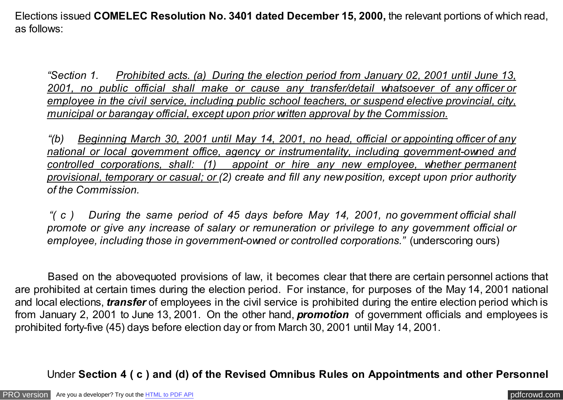Elections issued **COMELEC Resolution No. 3401 dated December 15, 2000,** the relevant portions of which read, as follows:

 *"Section 1. Prohibited acts. (a) During the election period from January 02, 2001 until June 13, 2001, no public official shall make or cause any transfer/detail whatsoever of any officer or employee in the civil service, including public school teachers, or suspend elective provincial, city, municipal or barangay official, except upon prior written approval by the Commission.*

 *"(b) Beginning March 30, 2001 until May 14, 2001, no head, official or appointing officer of any national or local government office, agency or instrumentality, including government-owned and controlled corporations, shall: (1) appoint or hire any new employee, whether permanent provisional, temporary or casual; or (2) create and fill any new position, except upon prior authority of the Commission.*

 *"( c ) During the same period of 45 days before May 14, 2001, no government official shall promote or give any increase of salary or remuneration or privilege to any government official or employee, including those in government-owned or controlled corporations."* (underscoring ours)

 Based on the abovequoted provisions of law, it becomes clear that there are certain personnel actions that are prohibited at certain times during the election period. For instance, for purposes of the May 14, 2001 national and local elections, *transfer* of employees in the civil service is prohibited during the entire election period which is from January 2, 2001 to June 13, 2001. On the other hand, *promotion* of government officials and employees is prohibited forty-five (45) days before election day or from March 30, 2001 until May 14, 2001.

# Under **Section 4 ( c ) and (d) of the Revised Omnibus Rules on Appointments and other Personnel**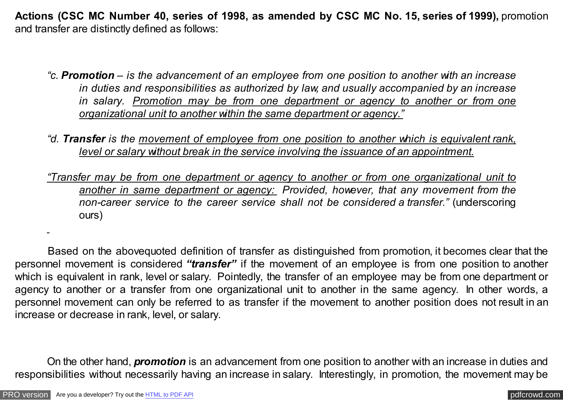<span id="page-9-0"></span>**Actions (CSC MC Number 40, series of 1998, as amended by CSC MC No. 15, series of 1999),** promotion and transfer are distinctly defined as follows:

- *"c. Promotion is the advancement of an employee from one position to another with an increase in duties and responsibilities as authorized by law, and usually accompanied by an increase in salary. Promotion may be from one department or agency to another or from one organizational unit to another within the same department or agency."*
- *"d. Transfer is the movement of employee from one position to another which is equivalent rank, level or salary without break in the service involving the issuance of an appointment.*
- *"Transfer may be from one department or agency to another or from one organizational unit to another in same department or agency: Provided, however, that any movement from the non-career service to the career service shall not be considered a transfer."* (underscoring ours)

 Based on the abovequoted definition of transfer as distinguished from promotion, it becomes clear that the personnel movement is considered *"transfer"* if the movement of an employee is from one position to another which is equivalent in rank, level or salary. Pointedly, the transfer of an employee may be from one department or agency to another or a transfer from one organizational unit to another in the same agency. In other words, a personnel movement can only be referred to as transfer if the movement to another position does not result in an increase or decrease in rank, level, or salary.

 On the other hand, *promotion* is an advancement from one position to another with an increase in duties and responsibilities without necessarily having an increase in salary. Interestingly, in promotion, the movement may be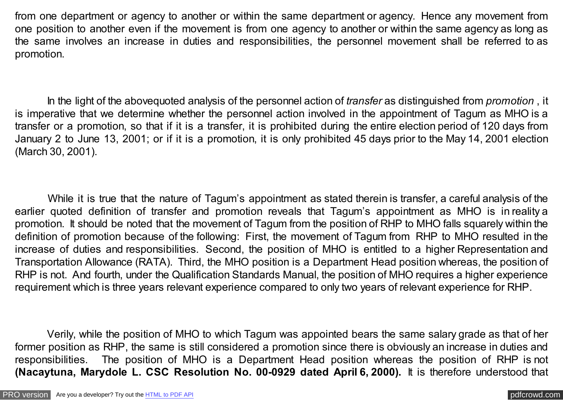from one department or agency to another or within the same department or agency. Hence any movement from one position to another even if the movement is from one agency to another or within the same agency as long as the same involves an increase in duties and responsibilities, the personnel movement shall be referred to as promotion.

 In the light of the abovequoted analysis of the personnel action of *transfer* as distinguished from *promotion* , it is imperative that we determine whether the personnel action involved in the appointment of Tagum as MHO is a transfer or a promotion, so that if it is a transfer, it is prohibited during the entire election period of 120 days from January 2 to June 13, 2001; or if it is a promotion, it is only prohibited 45 days prior to the May 14, 2001 election (March 30, 2001).

 While it is true that the nature of Tagum's appointment as stated therein is transfer, a careful analysis of the earlier quoted definition of transfer and promotion reveals that Tagum's appointment as MHO is in reality a promotion. It should be noted that the movement of Tagum from the position of RHP to MHO falls squarely within the definition of promotion because of the following: First, the movement of Tagum from RHP to MHO resulted in the increase of duties and responsibilities. Second, the position of MHO is entitled to a higher Representation and Transportation Allowance (RATA). Third, the MHO position is a Department Head position whereas, the position of RHP is not. And fourth, under the Qualification Standards Manual, the position of MHO requires a higher experience requirement which is three years relevant experience compared to only two years of relevant experience for RHP.

 Verily, while the position of MHO to which Tagum was appointed bears the same salary grade as that of her former position as RHP, the same is still considered a promotion since there is obviously an increase in duties and responsibilities. The position of MHO is a Department Head position whereas the position of RHP is not **(Nacaytuna, Marydole L. CSC Resolution No. 00-0929 dated April 6, 2000).** It is therefore understood that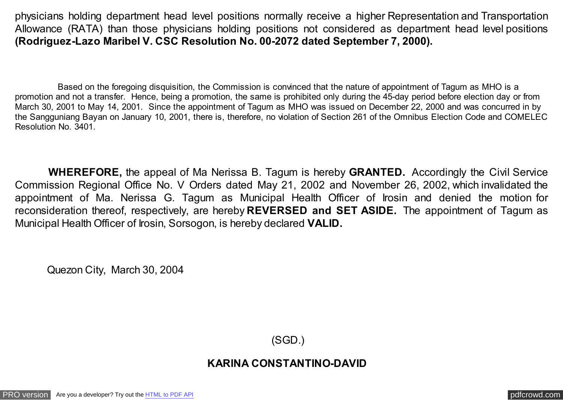physicians holding department head level positions normally receive a higher Representation and Transportation Allowance (RATA) than those physicians holding positions not considered as department head level positions **(Rodriguez-Lazo Maribel V. CSC Resolution No. 00-2072 dated September 7, 2000).**

 Based on the foregoing disquisition, the Commission is convinced that the nature of appointment of Tagum as MHO is a promotion and not a transfer. Hence, being a promotion, the same is prohibited only during the 45-day period before election day or from March 30, 2001 to May 14, 2001. Since the appointment of Tagum as MHO was issued on December 22, 2000 and was concurred in by the Sangguniang Bayan on January 10, 2001, there is, therefore, no violation of Section 261 of the Omnibus Election Code and COMELEC Resolution No. 3401.

 **WHEREFORE,** the appeal of Ma Nerissa B. Tagum is hereby **GRANTED.** Accordingly the Civil Service Commission Regional Office No. V Orders dated May 21, 2002 and November 26, 2002, which invalidated the appointment of Ma. Nerissa G. Tagum as Municipal Health Officer of Irosin and denied the motion for reconsideration thereof, respectively, are hereby **REVERSED and SET ASIDE.** The appointment of Tagum as Municipal Health Officer of Irosin, Sorsogon, is hereby declared **VALID.**

Quezon City, March 30, 2004

(SGD.)

## **KARINA CONSTANTINO-DAVID**

[PRO version](http://pdfcrowd.com/customize/) Are you a developer? Try out th[e HTML to PDF API](http://pdfcrowd.com/html-to-pdf-api/?ref=pdf) provided and the example of the HTML to PDF API posterior of the example of the example of the example of the example of the example of the example of the exampl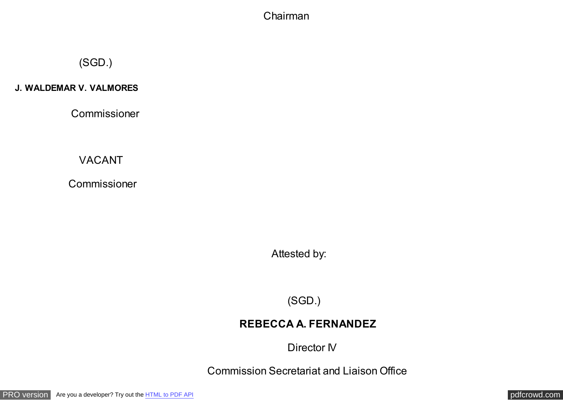#### Chairman

# (SGD.)

#### **J. WALDEMAR V. VALMORES**

Commissioner

VACANT

Commissioner

Attested by:

(SGD.)

## **REBECCA A. FERNANDEZ**

Director IV

Commission Secretariat and Liaison Office